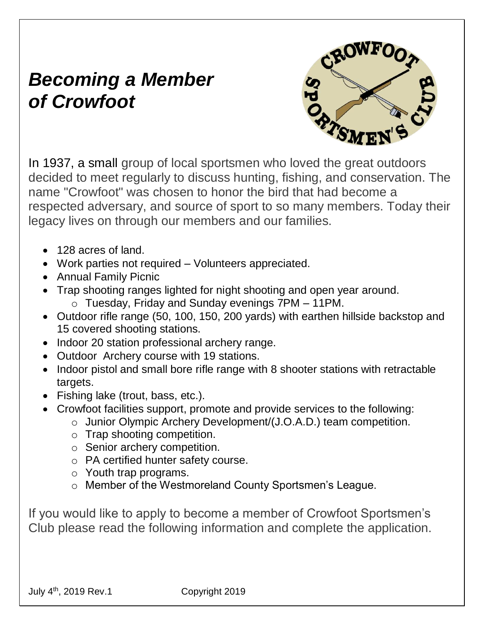## *Becoming a Member of Crowfoot*



In 1937, a small group of local sportsmen who loved the great outdoors decided to meet regularly to discuss hunting, fishing, and conservation. The name "Crowfoot" was chosen to honor the bird that had become a respected adversary, and source of sport to so many members. Today their legacy lives on through our members and our families.

- 128 acres of land.
- Work parties not required Volunteers appreciated.
- Annual Family Picnic
- Trap shooting ranges lighted for night shooting and open year around.
	- o Tuesday, Friday and Sunday evenings 7PM 11PM.
- Outdoor rifle range (50, 100, 150, 200 yards) with earthen hillside backstop and 15 covered shooting stations.
- Indoor 20 station professional archery range.
- Outdoor Archery course with 19 stations.
- Indoor pistol and small bore rifle range with 8 shooter stations with retractable targets.
- Fishing lake (trout, bass, etc.).
- Crowfoot facilities support, promote and provide services to the following:
	- o Junior Olympic Archery Development/(J.O.A.D.) team competition.
	- o Trap shooting competition.
	- o Senior archery competition.
	- o PA certified hunter safety course.
	- o Youth trap programs.
	- o Member of the Westmoreland County Sportsmen's League.

If you would like to apply to become a member of Crowfoot Sportsmen's Club please read the following information and complete the application.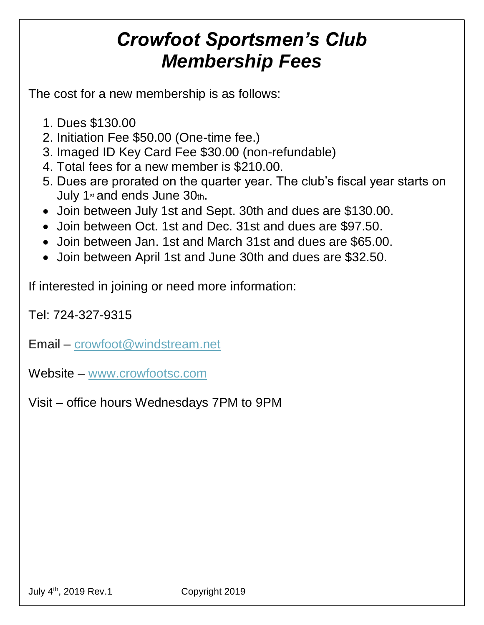## *Crowfoot Sportsmen's Club Membership Fees*

The cost for a new membership is as follows:

- 1. Dues \$130.00
- 2. Initiation Fee \$50.00 (One-time fee.)
- 3. Imaged ID Key Card Fee \$30.00 (non-refundable)
- 4. Total fees for a new member is \$210.00.
- 5. Dues are prorated on the quarter year. The club's fiscal year starts on July 1<sup>st</sup> and ends June 30th.
- Join between July 1st and Sept. 30th and dues are \$130.00.
- Join between Oct. 1st and Dec. 31st and dues are \$97.50.
- Join between Jan. 1st and March 31st and dues are \$65.00.
- Join between April 1st and June 30th and dues are \$32.50.

If interested in joining or need more information:

Tel: 724-327-9315

Email – [crowfoot@windstream.net](mailto:crowfoot@windstream.net)

Website – [www.crowfootsc.com](http://www.crowfootsc.com/)

Visit – office hours Wednesdays 7PM to 9PM